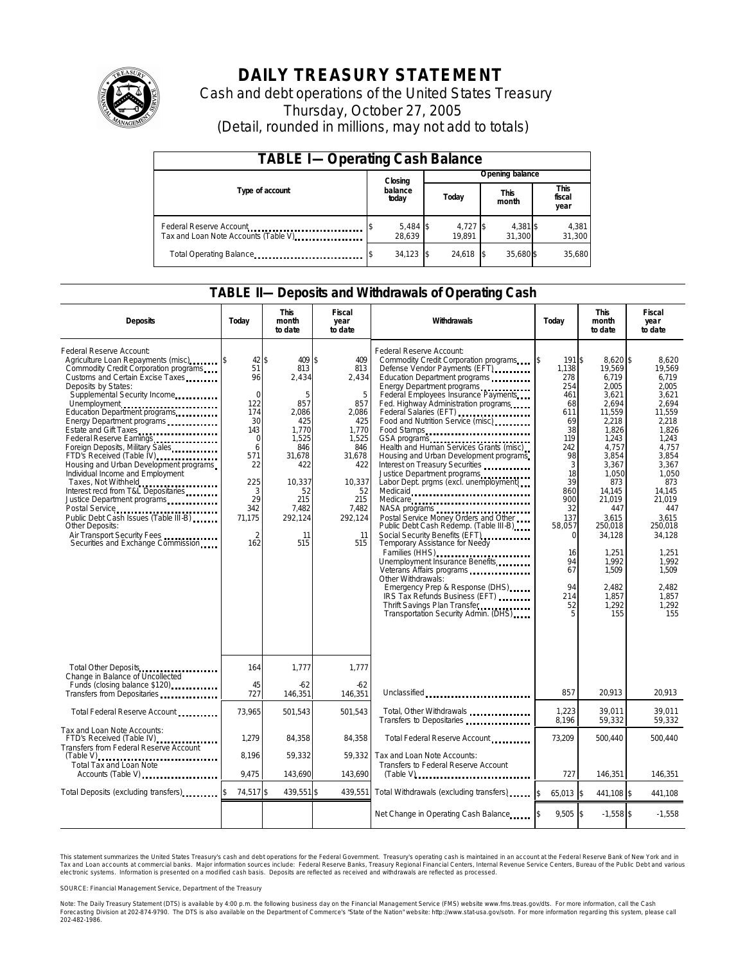

# **DAILY TREASURY STATEMENT**

Cash and debt operations of the United States Treasury Thursday, October 27, 2005 (Detail, rounded in millions, may not add to totals)

| <b>TABLE I-Operating Cash Balance</b>                            |                  |                      |  |                      |  |                      |  |                               |  |
|------------------------------------------------------------------|------------------|----------------------|--|----------------------|--|----------------------|--|-------------------------------|--|
|                                                                  |                  | Closing              |  | Opening balance      |  |                      |  |                               |  |
| Type of account                                                  | balance<br>today |                      |  | Today                |  | <b>This</b><br>month |  | <b>This</b><br>fiscal<br>year |  |
| Federal Reserve Account<br>Tax and Loan Note Accounts (Table V). |                  | $5,484$ \$<br>28.639 |  | $4,727$ \$<br>19.891 |  | 4,381 \$<br>31.300   |  | 4,381<br>31,300               |  |
| Total Operating Balance                                          |                  | $34,123$ \$          |  | 24.618               |  | 35.680\$             |  | 35.680                        |  |

#### **TABLE II—Deposits and Withdrawals of Operating Cash**

| <b>Deposits</b>                                                                                                                                                                                                                                                                                                                                                                                                                                                                                                                                                                                                                                                                                                 | Today                                                                                                                                                | <b>This</b><br>month<br>to date                                                                                                                      | Fiscal<br>year<br>to date                                                                                                                         | Withdrawals<br>Today                                                                                                                                                                                                                                                                                                                                                                                                                                                                                                                                                                                                                                                                                                                                                                                                                                                                                                                                                                  |                                                                                                                                                                                                     | <b>This</b><br>month<br>to date                                                                                                                                                                                                                                | Fiscal<br>year<br>to date                                                                                                                                                                                                                                 |  |
|-----------------------------------------------------------------------------------------------------------------------------------------------------------------------------------------------------------------------------------------------------------------------------------------------------------------------------------------------------------------------------------------------------------------------------------------------------------------------------------------------------------------------------------------------------------------------------------------------------------------------------------------------------------------------------------------------------------------|------------------------------------------------------------------------------------------------------------------------------------------------------|------------------------------------------------------------------------------------------------------------------------------------------------------|---------------------------------------------------------------------------------------------------------------------------------------------------|---------------------------------------------------------------------------------------------------------------------------------------------------------------------------------------------------------------------------------------------------------------------------------------------------------------------------------------------------------------------------------------------------------------------------------------------------------------------------------------------------------------------------------------------------------------------------------------------------------------------------------------------------------------------------------------------------------------------------------------------------------------------------------------------------------------------------------------------------------------------------------------------------------------------------------------------------------------------------------------|-----------------------------------------------------------------------------------------------------------------------------------------------------------------------------------------------------|----------------------------------------------------------------------------------------------------------------------------------------------------------------------------------------------------------------------------------------------------------------|-----------------------------------------------------------------------------------------------------------------------------------------------------------------------------------------------------------------------------------------------------------|--|
| Federal Reserve Account:<br>Commodity Credit Corporation programs<br>Customs and Certain Excise Taxes<br>Deposits by States:<br>Supplemental Security Income<br>Unemployment<br>Education Department programs<br>Energy Department programs<br>Estate and Gift Taxes<br>Federal Reserve Earnings<br>Foreign Deposits, Military Sales<br>FTD's Received (Table IV) <b>FTD</b> 's Received (Table IV)<br>Housing and Urban Development programs<br>Individual Income and Employment<br>Taxes, Not Withheld<br>Interest recd from T&L Depositaries<br>Justice Department programs<br>Public Debt Cash Issues (Table III-B)<br>Other Deposits:<br>Air Transport Security Fees<br>Securities and Exchange Commission | 42\$<br>51<br>96<br>$\Omega$<br>122<br>174<br>30<br>143<br>$\mathbf 0$<br>6<br>571<br>22<br>225<br>3<br>29<br>342<br>71.175<br>$\overline{2}$<br>162 | 409 \$<br>813<br>2,434<br>5<br>857<br>2,086<br>425<br>1.770<br>1.525<br>846<br>31,678<br>422<br>10,337<br>52<br>215<br>7.482<br>292.124<br>11<br>515 | 409<br>813<br>2,434<br>5<br>857<br>2,086<br>425<br>1.770<br>1,525<br>846<br>31,678<br>422<br>10,337<br>52<br>215<br>7.482<br>292.124<br>11<br>515 | Federal Reserve Account:<br>Commodity Credit Corporation programs<br>Defense Vendor Payments (EFT)<br>Education Department programs<br>Energy Department programs<br>Federal Employees Insurance Payments<br>Fed. Highway Administration programs<br>Federal Salaries (EFT)<br>Food and Nutrition Service (misc)<br>Food Stamps<br>Health and Human Services Grants (misc)<br>Housing and Urban Development programs<br>Interest on Treasury Securities<br>Justice Department programs<br>Labor Dept. prgms (excl. unemployment)<br>Medicaid<br>Medicare<br>NASA programs<br>Postal Service Money Orders and Other<br>Public Debt Cash Redemp. (Table III-B)<br>Social Security Benefits (EFT)<br>Temporary Assistance for Needy<br>Families (HHS)<br>Unemployment Insurance Benefits<br>Veterans Affairs programs<br>Other Withdrawals:<br>Emergency Prep & Response (DHS)<br>IRS Tax Refunds Business (EFT)<br>Thrift Savings Plan Transfer<br>Transportation Security Admin. (DHS) | 191 \$<br>ß.<br>1,138<br>278<br>254<br>461<br>68<br>611<br>69<br>38<br>119<br>242<br>98<br>3<br>18<br>39<br>860<br>900<br>32<br>137<br>58,057<br>$\Omega$<br>16<br>94<br>67<br>94<br>214<br>52<br>5 | $8.620$ \$<br>19,569<br>6,719<br>2.005<br>3,621<br>2.694<br>11,559<br>2,218<br>1.826<br>1.243<br>4,757<br>3,854<br>3,367<br>1.050<br>873<br>14.145<br>21,019<br>447<br>3.615<br>250,018<br>34,128<br>1,251<br>1,992<br>1.509<br>2.482<br>1,857<br>1,292<br>155 | 8.620<br>19,569<br>6,719<br>2.005<br>3,621<br>2.694<br>11,559<br>2,218<br>1.826<br>1.243<br>4,757<br>3,854<br>3,367<br>1.050<br>873<br>14.145<br>21.019<br>447<br>3.615<br>250,018<br>34,128<br>1.251<br>1,992<br>1.509<br>2.482<br>1,857<br>1,292<br>155 |  |
| Total Other Deposits<br>                                                                                                                                                                                                                                                                                                                                                                                                                                                                                                                                                                                                                                                                                        | 164                                                                                                                                                  | 1.777                                                                                                                                                | 1.777                                                                                                                                             |                                                                                                                                                                                                                                                                                                                                                                                                                                                                                                                                                                                                                                                                                                                                                                                                                                                                                                                                                                                       |                                                                                                                                                                                                     |                                                                                                                                                                                                                                                                |                                                                                                                                                                                                                                                           |  |
| Change in Balance of Uncollected<br>Funds (closing balance \$120)<br>Funds (closing balance \$120)<br>Transfers from Depositaries                                                                                                                                                                                                                                                                                                                                                                                                                                                                                                                                                                               | 45<br>727                                                                                                                                            | $-62$<br>146,351                                                                                                                                     | $-62$<br>146,351                                                                                                                                  | Unclassified                                                                                                                                                                                                                                                                                                                                                                                                                                                                                                                                                                                                                                                                                                                                                                                                                                                                                                                                                                          | 857                                                                                                                                                                                                 | 20,913                                                                                                                                                                                                                                                         | 20,913                                                                                                                                                                                                                                                    |  |
| Total Federal Reserve Account                                                                                                                                                                                                                                                                                                                                                                                                                                                                                                                                                                                                                                                                                   | 73,965                                                                                                                                               | 501,543                                                                                                                                              | 501,543                                                                                                                                           | Total, Other Withdrawals<br>Transfers to Depositaries                                                                                                                                                                                                                                                                                                                                                                                                                                                                                                                                                                                                                                                                                                                                                                                                                                                                                                                                 | 1,223<br>8,196                                                                                                                                                                                      | 39.011<br>59,332                                                                                                                                                                                                                                               | 39.011<br>59,332                                                                                                                                                                                                                                          |  |
| Tax and Loan Note Accounts:<br>FTD's Received (Table IV)<br><br>Transfers from Federal Reserve Account                                                                                                                                                                                                                                                                                                                                                                                                                                                                                                                                                                                                          | 1.279                                                                                                                                                | 84,358                                                                                                                                               | 84,358                                                                                                                                            | Total Federal Reserve Account                                                                                                                                                                                                                                                                                                                                                                                                                                                                                                                                                                                                                                                                                                                                                                                                                                                                                                                                                         | 73,209                                                                                                                                                                                              | 500,440                                                                                                                                                                                                                                                        | 500,440                                                                                                                                                                                                                                                   |  |
| <b>Total Tax and Loan Note</b><br>Accounts (Table V)                                                                                                                                                                                                                                                                                                                                                                                                                                                                                                                                                                                                                                                            | 8.196<br>9.475                                                                                                                                       | 59,332<br>143.690                                                                                                                                    | 59.332<br>143,690                                                                                                                                 | Tax and Loan Note Accounts:<br>Transfers to Federal Reserve Account                                                                                                                                                                                                                                                                                                                                                                                                                                                                                                                                                                                                                                                                                                                                                                                                                                                                                                                   | 727                                                                                                                                                                                                 | 146.351                                                                                                                                                                                                                                                        | 146,351                                                                                                                                                                                                                                                   |  |
| Total Deposits (excluding transfers).                                                                                                                                                                                                                                                                                                                                                                                                                                                                                                                                                                                                                                                                           | 74,517 \$                                                                                                                                            | 439,551 \$                                                                                                                                           | 439,551                                                                                                                                           | Total Withdrawals (excluding transfers)                                                                                                                                                                                                                                                                                                                                                                                                                                                                                                                                                                                                                                                                                                                                                                                                                                                                                                                                               | \$<br>65,013 \$                                                                                                                                                                                     | 441,108 \$                                                                                                                                                                                                                                                     | 441,108                                                                                                                                                                                                                                                   |  |
|                                                                                                                                                                                                                                                                                                                                                                                                                                                                                                                                                                                                                                                                                                                 |                                                                                                                                                      |                                                                                                                                                      |                                                                                                                                                   | Net Change in Operating Cash Balance                                                                                                                                                                                                                                                                                                                                                                                                                                                                                                                                                                                                                                                                                                                                                                                                                                                                                                                                                  | 9,505 \$                                                                                                                                                                                            | $-1.558$ \$                                                                                                                                                                                                                                                    | $-1.558$                                                                                                                                                                                                                                                  |  |

This statement summarizes the United States Treasury's cash and debt operations for the Federal Government. Treasury's operating cash is maintained in an account at the Federal Reserve Bank of New York and in Tax and Loan accounts at commercial banks. Major information sources include: Federal Reserve Banks, Treasury Regional Financial Centers, Internal Revenue Service Centers, Bureau of the Public Debt and various<br>electronic s

SOURCE: Financial Management Service, Department of the Treasury

Note: The Daily Treasury Statement (DTS) is available by 4:00 p.m. the following business day on the Financial Management Service (FMS) website www.fms.treas.gov/dts. For more information, call the Cash<br>Forecasting Divisio 'S) is available by 4:00 p.m. the following business day on the Financial Management Service (FMS) website www.fms.treas.gov/dts. For more information, call the Cash<br>The DTS is also available on the Department of Commerce'